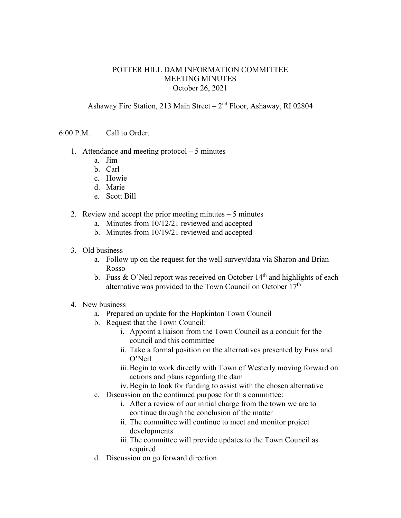## POTTER HILL DAM INFORMATION COMMITTEE MEETING MINUTES October 26, 2021

Ashaway Fire Station, 213 Main Street –  $2<sup>nd</sup>$  Floor, Ashaway, RI 02804

6:00 P.M. Call to Order.

- 1. Attendance and meeting protocol 5 minutes
	- a. Jim
	- b. Carl
	- c. Howie
	- d. Marie
	- e. Scott Bill
- 2. Review and accept the prior meeting minutes 5 minutes
	- a. Minutes from 10/12/21 reviewed and accepted
	- b. Minutes from 10/19/21 reviewed and accepted
- 3. Old business
	- a. Follow up on the request for the well survey/data via Sharon and Brian Rosso
	- b. Fuss & O'Neil report was received on October  $14<sup>th</sup>$  and highlights of each alternative was provided to the Town Council on October  $17<sup>th</sup>$
- 4. New business
	- a. Prepared an update for the Hopkinton Town Council
	- b. Request that the Town Council:
		- i. Appoint a liaison from the Town Council as a conduit for the council and this committee
		- ii. Take a formal position on the alternatives presented by Fuss and O'Neil
		- iii.Begin to work directly with Town of Westerly moving forward on actions and plans regarding the dam
		- iv.Begin to look for funding to assist with the chosen alternative
	- c. Discussion on the continued purpose for this committee:
		- i. After a review of our initial charge from the town we are to continue through the conclusion of the matter
		- ii. The committee will continue to meet and monitor project developments
		- iii.The committee will provide updates to the Town Council as required
	- d. Discussion on go forward direction